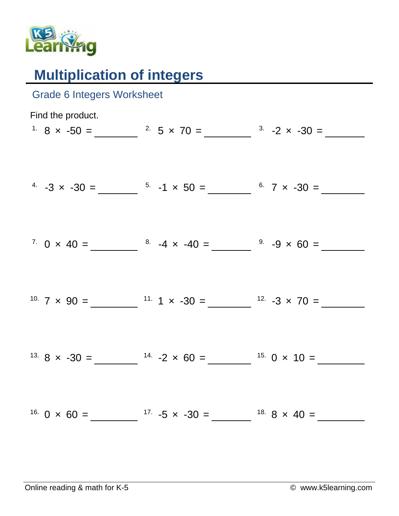

## **Multiplication of integers**

| <b>Grade 6 Integers Worksheet</b> |                                                                                                               |  |
|-----------------------------------|---------------------------------------------------------------------------------------------------------------|--|
| Find the product.                 | <sup>1</sup> 8 $\times$ -50 = $\frac{2}{\sqrt{5}}$ 5 $\times$ 70 = $\frac{3}{\sqrt{5}}$ -2 $\times$ -30 =     |  |
|                                   |                                                                                                               |  |
|                                   | <sup>4</sup> $-3 \times -30 =$ $\frac{5}{1} \times 50 =$ $\frac{6}{1} \times 7 \times -30 =$                  |  |
|                                   |                                                                                                               |  |
|                                   | <sup>7</sup> 0 × 40 = $\frac{8}{4}$ -4 × -40 = $\frac{9}{4}$ -9 × 60 =                                        |  |
|                                   | <sup>10.</sup> $7 \times 90 =$ $11.1 \times -30 =$ $12.1 \times -3 \times 70 =$                               |  |
|                                   |                                                                                                               |  |
|                                   | <sup>13.</sup> 8 $\times$ -30 = $\frac{14.}{}$ -2 $\times$ 60 = $\frac{15.}{}$ 0 $\times$ 10 = $\frac{15.}{}$ |  |
|                                   |                                                                                                               |  |
|                                   | <sup>16.</sup> 0 × 60 = $^{17.}$ -5 × -30 = $^{18.}$ 8 × 40 =                                                 |  |